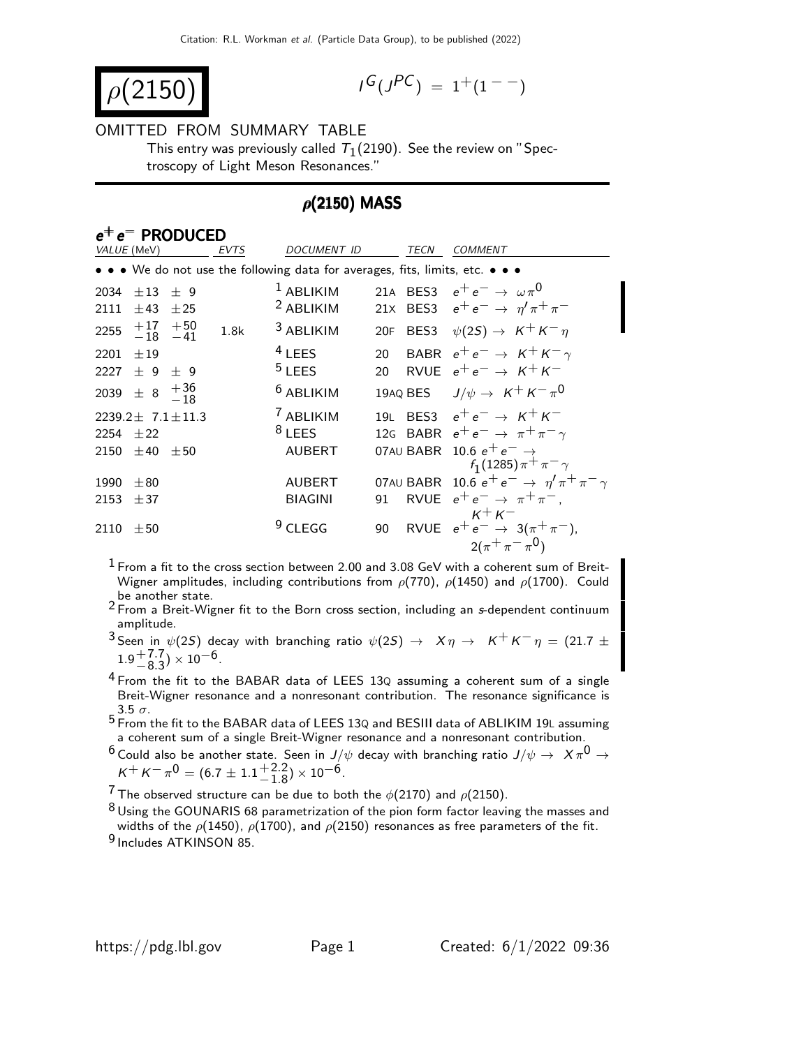$$
\rho(2150)
$$

$$
I^G(J^{PC}) = 1^+(1^{--})
$$

#### OMITTED FROM SUMMARY TABLE

This entry was previously called  $\, \tau_{1}^{}(2190).$  See the review on "Spectroscopy of Light Meson Resonances."

### $\rho$ (2150) MASS

#### e<sup>+</sup> e<sup>−</sup> PRODUCED EVTS DOCUMENT ID TECN COMMENT We do not use the following data for averages, fits, limits, etc.  $\bullet \bullet \bullet$ 2034  $\pm 13$   $\pm 9$ <sup>1</sup> ABLIKIM 21A BES3  $e^+e^- \rightarrow \omega \pi^0$ 2111  $\pm$ 43  $\pm$ 25 <sup>2</sup> ABLIKIM 21x BES3  $e^+e^- \to \eta' \pi^+ \pi^ \begin{array}{r} +17 \\ -18 \\ -41 \end{array}$ 1.8k <sup>3</sup> ABLIKIM 20F BES3  $\psi(2S) \rightarrow K^+ K^- \eta$ 2201  $\pm$ 19 4 LEES 20 BABR  $e^+e^- \rightarrow K^+K^- \gamma$ 2227  $\pm$  9  $\pm$  9  $5$  LEES 20 RVUE  $e^+e^- \rightarrow K^+K^-$ 2039  $\pm$  8  $^{\rm + \, 36}_{\rm -\, 18}$  $^6$  ABLIKIM  $_{19}$ AQ BES  $_{J/\psi}\rightarrow~$  K $^+$  K $^ _{\pi}$ 0 2239.2 $\pm$  7.1 $\pm$ 11.3  $7$  ABLIKIM 19L BES3  $e^+e^- \rightarrow K^+K^-$ 2254  $\pm$ 22 8 LEES 12G BABR  $e^+e^- \rightarrow \pi^+\pi^-\gamma$  $2150$   $\pm 40$   $\pm 50$  AUBERT 07AU BABR 10.6  $e^+e^- \rightarrow$  $f_1(1285) \pi^+ \pi^-$ 1990  $\pm$ 80 AUBERT 07AU BABR 10.6  $e^+e^- \rightarrow \eta' \pi^+ \pi^- \gamma$ 2153  $\pm 37$  BIAGINI 91 RVUE  $e^+e^- \rightarrow \pi^+\pi^-,$  $K^+ K^-$ 2110  $\pm 50$  9 CLEGG 90 RVUE  $e^+e^- \rightarrow 3(\pi^+\pi^-)$ ,  $2(\pi^+\pi^-\pi^0)$

 $1$  From a fit to the cross section between 2.00 and 3.08 GeV with a coherent sum of Breit-Wigner amplitudes, including contributions from  $\rho(770)$ ,  $\rho(1450)$  and  $\rho(1700)$ . Could be another state.

 $2$  From a Breit-Wigner fit to the Born cross section, including an s-dependent continuum amplitude.

3 Seen in  $\psi$ (2S) decay with branching ratio  $\psi$ (2S)  $\rightarrow X \eta \rightarrow K^+ K^- \eta = (21.7 \pm 1)$  $1.9^{+7.7}_{-8.3}$ ) × 10<sup>-6</sup>.

 $4$  From the fit to the BABAR data of LEES 13Q assuming a coherent sum of a single Breit-Wigner resonance and a nonresonant contribution. The resonance significance is  $3.5\sigma$ .

5 From the fit to the BABAR data of LEES 13<sup>Q</sup> and BESIII data of ABLIKIM 19<sup>L</sup> assuming a coherent sum of a single Breit-Wigner resonance and a nonresonant contribution.

 $^6$  Could also be another state. Seen in  $J/\psi$  decay with branching ratio  $J/\psi\rightarrow~\,{\it X}\,\pi^0\rightarrow$  $K^+ K^- \pi^0 = (6.7 \pm 1.1^{+2.2}_{-1.8}) \times 10^{-6}.$ 

<sup>7</sup> The observed structure can be due to both the  $\phi(2170)$  and  $\rho(2150)$ .

 $8$  Using the GOUNARIS 68 parametrization of the pion form factor leaving the masses and widths of the  $\rho$ (1450),  $\rho$ (1700), and  $\rho$ (2150) resonances as free parameters of the fit. 9 Includes ATKINSON 85.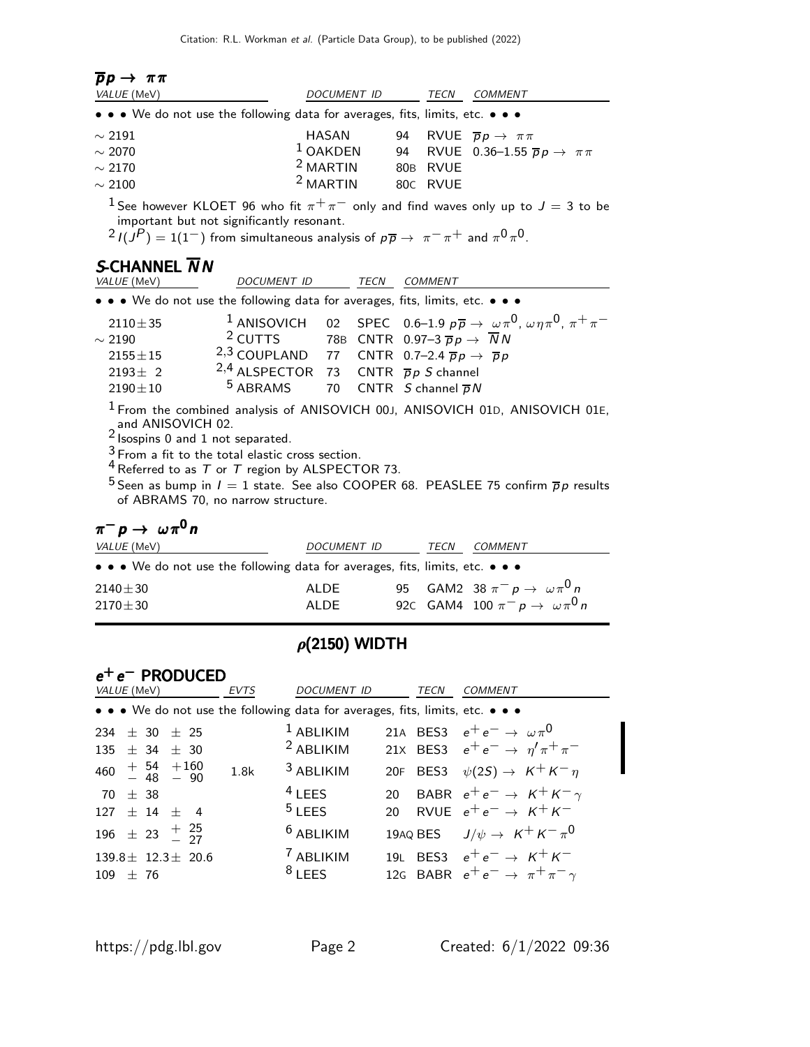| $pp \rightarrow \pi\pi$                                                                                               |                                                                                                                                                                          |            |             |                |                                                                                                                       |
|-----------------------------------------------------------------------------------------------------------------------|--------------------------------------------------------------------------------------------------------------------------------------------------------------------------|------------|-------------|----------------|-----------------------------------------------------------------------------------------------------------------------|
| VALUE (MeV)                                                                                                           |                                                                                                                                                                          |            | DOCUMENT ID | TECN           | COMMENT                                                                                                               |
| $\bullet \bullet \bullet$ We do not use the following data for averages, fits, limits, etc. $\bullet \bullet \bullet$ |                                                                                                                                                                          |            |             |                |                                                                                                                       |
| $\sim$ 2191                                                                                                           |                                                                                                                                                                          | HASAN      |             |                | 94 RVUE $\overline{p}p \rightarrow \pi \pi$                                                                           |
| $\sim$ 2070                                                                                                           |                                                                                                                                                                          | $1$ OAKDEN |             |                | 94 RVUE 0.36-1.55 $\overline{p}p \rightarrow \pi\pi$                                                                  |
| $\sim$ 2170                                                                                                           |                                                                                                                                                                          | $2$ MARTIN |             | 80B RVUE       |                                                                                                                       |
| $\sim$ 2100                                                                                                           |                                                                                                                                                                          | $2$ MARTIN | 80C RVUE    |                |                                                                                                                       |
| S-CHANNEL $\overline{N}N$                                                                                             | important but not significantly resonant.<br>$^{2}I(J^{P}) = 1(1^{-})$ from simultaneous analysis of $p\overline{p} \rightarrow \pi^{-} \pi^{+}$ and $\pi^{0} \pi^{0}$ . |            |             |                | <sup>1</sup> See however KLOET 96 who fit $\pi^+\pi^-$ only and find waves only up to $J=3$ to be                     |
| VALUE (MeV)                                                                                                           | DOCUMENT ID                                                                                                                                                              |            | TECN        | <b>COMMENT</b> |                                                                                                                       |
| • • • We do not use the following data for averages, fits, limits, etc. • • •                                         |                                                                                                                                                                          |            |             |                |                                                                                                                       |
| $2110 \pm 35$                                                                                                         |                                                                                                                                                                          |            |             |                | <sup>1</sup> ANISOVICH 02 SPEC 0.6–1.9 $p\overline{p} \rightarrow \omega \pi^0$ , $\omega \eta \pi^0$ , $\pi^+ \pi^-$ |
| $\sim$ 2190                                                                                                           | <sup>2</sup> CUTTS 78B CNTR 0.97-3 $\overline{p}p \rightarrow \overline{N}N$                                                                                             |            |             |                |                                                                                                                       |
| $2155 \pm 15$                                                                                                         | 2,3 COUPLAND 77 CNTR 0.7-2.4 $\overline{p}p \rightarrow \overline{p}p$                                                                                                   |            |             |                |                                                                                                                       |

 $2193 \pm 2$ <sup>2,4</sup> ALSPECTOR 73 CNTR  $\bar{p}p S$  channel<br><sup>5</sup> ABRAMS 70 CNTR *S* channel  $\bar{p}N$  $2190 \pm 10$  5 ABRAMS 70 CNTR *S* channel  $\overline{p}N$ 

1 From the combined analysis of ANISOVICH 00J, ANISOVICH 01D, ANISOVICH 01E, and ANISOVICH 02.<br><sup>2</sup> Isospins 0 and 1 not separated.

 $\frac{3}{1}$  From a fit to the total elastic cross section.

 $4$  Referred to as T or T region by ALSPECTOR 73.

<sup>5</sup> Seen as bump in  $I=1$  state. See also COOPER 68. PEASLEE 75 confirm  $\overline{p}p$  results of ABRAMS 70, no narrow structure.

## $\pi^- p \to \omega \pi^0 n$

| <i>VALUE</i> (MeV)                                                            | DOCUMENT ID | TECN | <i>COMMENT</i>                            |
|-------------------------------------------------------------------------------|-------------|------|-------------------------------------------|
| • • • We do not use the following data for averages, fits, limits, etc. • • • |             |      |                                           |
| $2140 \pm 30$                                                                 | ALDE        |      | 95 GAM2 38 $\pi^- p \to \omega \pi^0 n$   |
| $2170\pm30$                                                                   | AI DE       |      | 920 GAM4 100 $\pi^- p \to \omega \pi^0 n$ |
|                                                                               |             |      |                                           |

### $\rho$ (2150) WIDTH

### e<sup>+</sup> e<sup>−</sup> PRODUCED

| VALUE (MeV)                                                                   | <b>EVTS</b> | DOCUMENT ID          | TECN | <b>COMMENT</b>                                 |
|-------------------------------------------------------------------------------|-------------|----------------------|------|------------------------------------------------|
| • • • We do not use the following data for averages, fits, limits, etc. • • • |             |                      |      |                                                |
| 234 $\pm$ 30 $\pm$ 25                                                         |             | $1$ ABLIKIM          |      | 21A BES3 $e^+e^- \rightarrow \omega \pi^0$     |
| 135 $\pm$ 34 $\pm$ 30                                                         |             | <sup>2</sup> ABLIKIM |      | 21X BES3 $e^+e^- \to \eta' \pi^+ \pi^-$        |
| $460 + 54 + 160$<br>$- 48 - 90$                                               | 1.8k        | <sup>3</sup> ABLIKIM |      | 20F BES3 $\psi(2S) \rightarrow K^+ K^- \eta$   |
| $70 \pm 38$                                                                   |             | $4$ LEES             |      | 20 BABR $e^+e^- \rightarrow K^+K^-\gamma$      |
| $127 \pm 14 \pm 4$                                                            |             | $5$ LEES             |      | 20 RVUE $e^+e^- \rightarrow K^+K^-$            |
| 196 $\pm$ 23 $\frac{+}{-}$ $\frac{25}{27}$                                    |             | $6$ ABLIKIM          |      | 19AQ BES $J/\psi \rightarrow K^+ K^- \pi^0$    |
| $139.8 \pm 12.3 \pm 20.6$                                                     |             | <sup>7</sup> ABLIKIM |      | 19L BES3 $e^+e^- \rightarrow K^+K^-$           |
| $109 \pm 76$                                                                  |             | $8$ LEES             |      | 12G BABR $e^+e^- \rightarrow \pi^+\pi^-\gamma$ |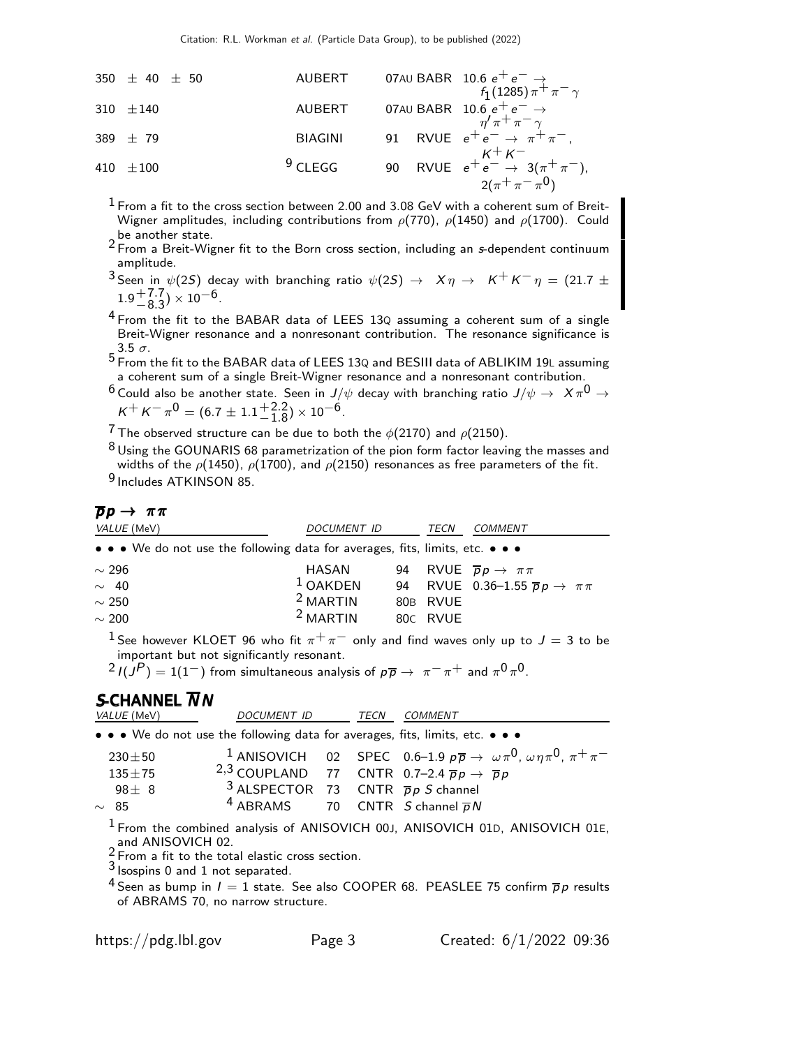| 350 $\pm$ 40 $\pm$ 50 | AUBERT  | 07AU BABR                                                            | 10.6 $e^+e^- \rightarrow$<br>$f_1(1285)\pi^+\pi^-\gamma$ |
|-----------------------|---------|----------------------------------------------------------------------|----------------------------------------------------------|
| 310 $\pm$ 140         | AUBERT  | 07AU BABR                                                            | 10.6 $e^+e^- \rightarrow$<br>$\eta'\pi^+\pi^-\gamma$     |
| 389 $\pm$ 79          | BIAGINI | 91 RVUE $e^+e^- \rightarrow \pi^+\pi^-,$<br>$K^+K^-$                 |                                                          |
| 410 $\pm$ 100         | 9 CLEGG | 90 RVUE $e^+e^- \rightarrow 3(\pi^+\pi^-)$ ,<br>$2(\pi^+\pi^-\pi^0)$ |                                                          |

 $1$  From a fit to the cross section between 2.00 and 3.08 GeV with a coherent sum of Breit-Wigner amplitudes, including contributions from  $\rho(770)$ ,  $\rho(1450)$  and  $\rho(1700)$ . Could be another state.

- <sup>2</sup> From a Breit-Wigner fit to the Born cross section, including an s-dependent continuum amplitude.
- 3 Seen in  $\psi(2S)$  decay with branching ratio  $\psi(2S) \rightarrow X \eta \rightarrow K^+ K^- \eta = (21.7 \pm 0.6 \pm 7.7)$ .  $1.9^{+7.7}_{-8.3}) \times 10^{-6}$ .
- $4$  From the fit to the BABAR data of LEES 13Q assuming a coherent sum of a single Breit-Wigner resonance and a nonresonant contribution. The resonance significance is  $3.5 \sigma$ .
- 5 From the fit to the BABAR data of LEES 13<sup>Q</sup> and BESIII data of ABLIKIM 19<sup>L</sup> assuming a coherent sum of a single Breit-Wigner resonance and a nonresonant contribution.
- $^6$  Could also be another state. Seen in  $J/\psi$  decay with branching ratio  $J/\psi\rightarrow~\,{\mathsf{X}}\,\pi^0\rightarrow\,$  $K^+ K^- \pi^0 = (6.7 \pm 1.1^{+2.2}_{-1.8}) \times 10^{-6}.$

<sup>7</sup> The observed structure can be due to both the  $\phi(2170)$  and  $\rho(2150)$ .

 $^8$ Using the GOUNARIS 68 parametrization of the pion form factor leaving the masses and widths of the  $\rho(1450)$ ,  $\rho(1700)$ , and  $\rho(2150)$  resonances as free parameters of the fit.

9 Includes ATKINSON 85.

#### $\overline{p}p \rightarrow \pi \pi$

| <i>VALUE</i> (MeV) | DOCUMENT ID                                                                                                           | TECN     | COMMENT                                              |
|--------------------|-----------------------------------------------------------------------------------------------------------------------|----------|------------------------------------------------------|
|                    | $\bullet \bullet \bullet$ We do not use the following data for averages, fits, limits, etc. $\bullet \bullet \bullet$ |          |                                                      |
| $\sim$ 296         | HASAN                                                                                                                 |          | 94 RVUE $\overline{p}p \to \pi\pi$                   |
| $\sim$ 40          | $1$ OAKDEN                                                                                                            |          | 94 RVUE 0.36-1.55 $\overline{p}p \rightarrow \pi\pi$ |
| $\sim$ 250         | <sup>2</sup> MARTIN                                                                                                   | 80B RVUE |                                                      |
| $\sim 200$         | <sup>2</sup> MARTIN                                                                                                   | 80C RVUE |                                                      |
|                    |                                                                                                                       |          |                                                      |

<sup>1</sup> See however KLOET 96 who fit  $\pi^{+}\pi^{-}$  only and find waves only up to  $J = 3$  to be important but not significantly resonant.

 $2 I(J^P) = 1(1^-)$  from simultaneous analysis of  $p\overline{p} \rightarrow \pi^- \pi^+$  and  $\pi^0 \pi^0$ .

#### S-CHANNEL  $\overline{N}N$

| <i>VALUE</i> (MeV) | <i>DOCUMENT ID</i>                                                                | TECN | COMMENT |                                                                                                                       |
|--------------------|-----------------------------------------------------------------------------------|------|---------|-----------------------------------------------------------------------------------------------------------------------|
|                    | • • • We do not use the following data for averages, fits, limits, etc. • • •     |      |         |                                                                                                                       |
| $230 + 50$         |                                                                                   |      |         | <sup>1</sup> ANISOVICH 02 SPEC 0.6–1.9 $p\overline{p} \rightarrow \omega \pi^0$ , $\omega \eta \pi^0$ , $\pi^+ \pi^-$ |
| $135 \pm 75$       | <sup>2,3</sup> COUPLAND 77 CNTR 0.7-2.4 $\overline{p}p \rightarrow \overline{p}p$ |      |         |                                                                                                                       |
| $98 \pm 8$         | <sup>3</sup> ALSPECTOR 73 CNTR $\bar{p}p S$ channel                               |      |         |                                                                                                                       |
| $\sim 85$          | <sup>4</sup> ABRAMS 70 CNTR <i>S</i> channel $\overline{p}N$                      |      |         |                                                                                                                       |
|                    |                                                                                   |      |         |                                                                                                                       |

<sup>1</sup> From the combined analysis of ANISOVICH 00J, ANISOVICH 01D, ANISOVICH 01E, and ANISOVICH 02.<br><sup>2</sup> From a fit to the total elastic cross section.

- 3 Isospins 0 and 1 not separated.
- <sup>4</sup> Seen as bump in  $I = 1$  state. See also COOPER 68. PEASLEE 75 confirm  $\overline{p}p$  results of ABRAMS 70, no narrow structure.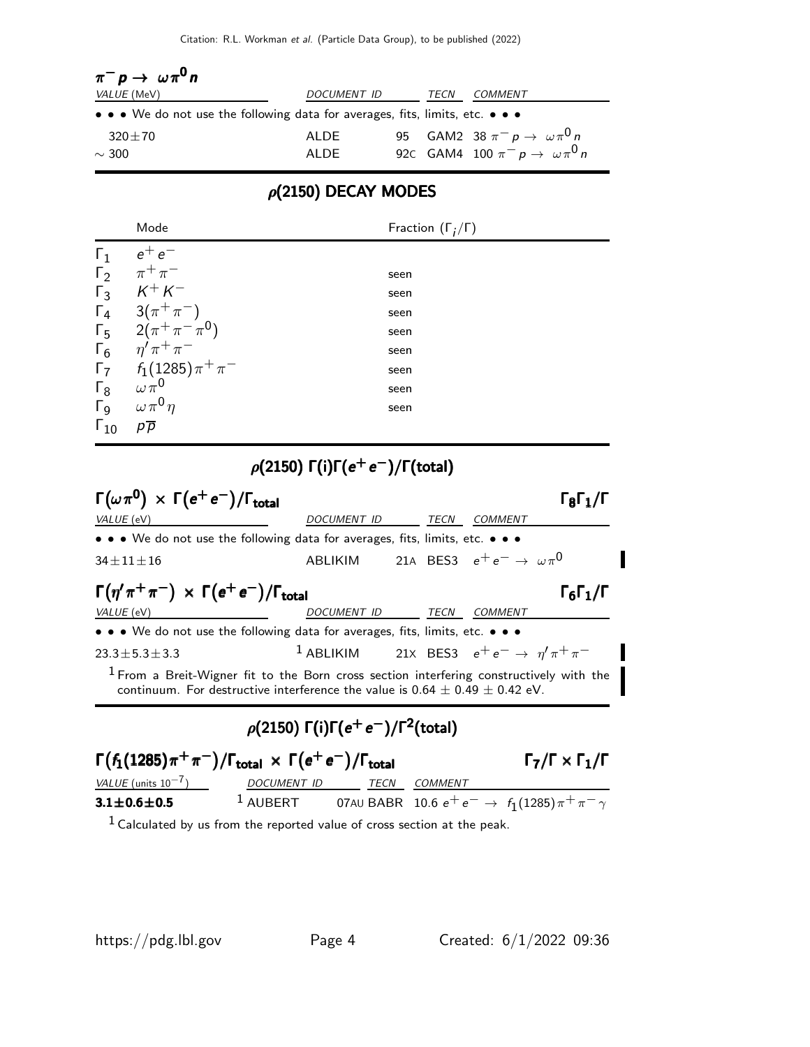| $\pi^- p \to \omega \pi^0 n$                                                  |                    |      |                                               |
|-------------------------------------------------------------------------------|--------------------|------|-----------------------------------------------|
| <i>VALUE</i> (MeV)                                                            | <i>DOCUMENT ID</i> | TECN | COMMENT                                       |
| • • • We do not use the following data for averages, fits, limits, etc. • • • |                    |      |                                               |
| $320 \pm 70$                                                                  | ALDE               |      | 95 GAM2 38 $\pi^- p \to \omega \pi^0 n$       |
| $\sim$ 300                                                                    | AI DE              |      | 92C GAM4 100 $\pi^{-} p \to \omega \pi^{0} n$ |

## $\rho$ (2150) DECAY MODES

|               | Mode                               | Fraction $(\Gamma_i/\Gamma)$ |
|---------------|------------------------------------|------------------------------|
| $\Gamma_1$    | $e^+e^-$                           |                              |
| $\Gamma_2$    | $\pi^+\pi^-$                       | seen                         |
|               | $\Gamma_3$ $K^+K^-$                | seen                         |
|               | $\Gamma_4$ 3( $\pi^+\pi^-$ )       | seen                         |
|               | $\Gamma_5$ 2( $\pi^+\pi^-\pi^0$ )  | seen                         |
|               | $\Gamma_6$ $\eta' \pi^+ \pi^-$     | seen                         |
|               | $\Gamma_7$ $f_1(1285)\pi^+\pi^-$   | seen                         |
| $\Gamma_8$    | $\omega\,\pi^{\mathsf{0}}$         | seen                         |
|               | $\Gamma_9 \quad \omega \pi^0 \eta$ | seen                         |
| $\Gamma_{10}$ | $p\overline{p}$                    |                              |

## $\rho(2150)$   $\Gamma(i)\Gamma(e^+e^-)/\Gamma(\text{total})$

| $\Gamma(\omega \pi^0) \times \Gamma(e^+e^-)/\Gamma_{\text{total}}$                                                            |                                                                                   |                                                                      |                |                                            | $\Gamma_8 \Gamma_1 / \Gamma_1$           |
|-------------------------------------------------------------------------------------------------------------------------------|-----------------------------------------------------------------------------------|----------------------------------------------------------------------|----------------|--------------------------------------------|------------------------------------------|
| VALUE (eV)                                                                                                                    |                                                                                   | <i>DOCUMENT ID</i>                                                   |                | TECN COMMENT                               |                                          |
| $\bullet \bullet \bullet$ We do not use the following data for averages, fits, limits, etc. $\bullet \bullet \bullet$         |                                                                                   |                                                                      |                |                                            |                                          |
| $34 \pm 11 \pm 16$                                                                                                            |                                                                                   | ABLIKIM                                                              |                | 21A BES3 $e^+e^- \rightarrow \omega \pi^0$ |                                          |
| $\Gamma(\eta'\pi^+\pi^-) \times \Gamma(e^+e^-)/\Gamma_{\text{total}}$                                                         |                                                                                   |                                                                      |                |                                            | $\Gamma_6\Gamma_1/\Gamma$                |
| VALUE (eV)                                                                                                                    |                                                                                   | DOCUMENT ID                                                          | TECN           | <b>COMMENT</b>                             |                                          |
| $\bullet$ $\bullet$ $\bullet$ We do not use the following data for averages, fits, limits, etc. $\bullet$ $\bullet$ $\bullet$ |                                                                                   |                                                                      |                |                                            |                                          |
| $23.3 \pm 5.3 \pm 3.3$                                                                                                        |                                                                                   | <sup>1</sup> ABLIKIM 21X BES3 $e^+e^- \rightarrow \eta' \pi^+ \pi^-$ |                |                                            |                                          |
| $1$ From a Breit-Wigner fit to the Born cross section interfering constructively with the                                     | continuum. For destructive interference the value is $0.64 \pm 0.49 \pm 0.42$ eV. |                                                                      |                |                                            |                                          |
|                                                                                                                               | $\rho(2150) \Gamma(i) \Gamma(e^+e^-)/\Gamma^2$ (total)                            |                                                                      |                |                                            |                                          |
| $\Gamma(f_1(1285)\pi^+\pi^-)/\Gamma_{\text{total}} \times \Gamma(e^+e^-)/\Gamma_{\text{total}}$                               |                                                                                   |                                                                      |                |                                            | $\Gamma_7/\Gamma \times \Gamma_1/\Gamma$ |
| $VALUE$ (units $10^{-7}$ ) DOCUMENT ID TECN                                                                                   |                                                                                   |                                                                      | <b>COMMENT</b> |                                            |                                          |
| $3.1 \pm 0.6 \pm 0.5$                                                                                                         | 1 AUBERT 07AU BABR 10.6 $e^+e^- \rightarrow f_1(1285)\pi^+\pi^-\gamma$            |                                                                      |                |                                            |                                          |
| $1$ Calculated by us from the reported value of cross section at the peak.                                                    |                                                                                   |                                                                      |                |                                            |                                          |